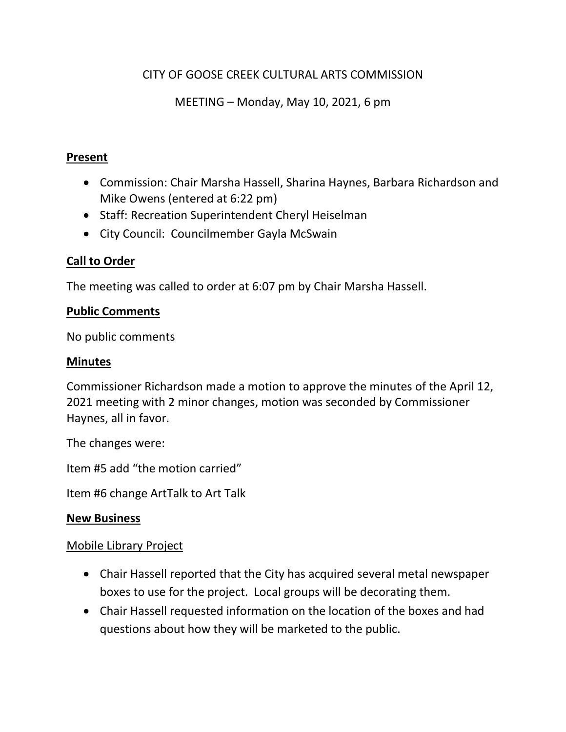## CITY OF GOOSE CREEK CULTURAL ARTS COMMISSION

MEETING – Monday, May 10, 2021, 6 pm

### **Present**

- Commission: Chair Marsha Hassell, Sharina Haynes, Barbara Richardson and Mike Owens (entered at 6:22 pm)
- Staff: Recreation Superintendent Cheryl Heiselman
- City Council: Councilmember Gayla McSwain

## **Call to Order**

The meeting was called to order at 6:07 pm by Chair Marsha Hassell.

### **Public Comments**

No public comments

### **Minutes**

Commissioner Richardson made a motion to approve the minutes of the April 12, 2021 meeting with 2 minor changes, motion was seconded by Commissioner Haynes, all in favor.

The changes were:

Item #5 add "the motion carried"

Item #6 change ArtTalk to Art Talk

### **New Business**

## Mobile Library Project

- Chair Hassell reported that the City has acquired several metal newspaper boxes to use for the project. Local groups will be decorating them.
- Chair Hassell requested information on the location of the boxes and had questions about how they will be marketed to the public.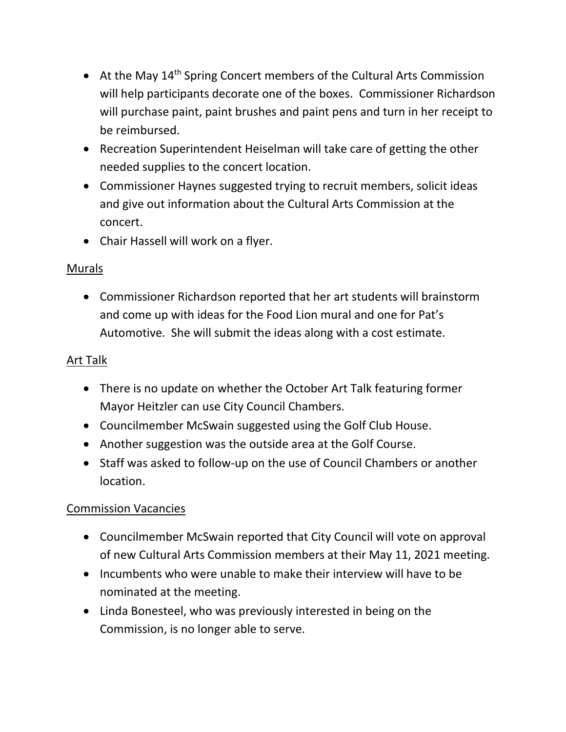- At the May  $14<sup>th</sup>$  Spring Concert members of the Cultural Arts Commission will help participants decorate one of the boxes. Commissioner Richardson will purchase paint, paint brushes and paint pens and turn in her receipt to be reimbursed.
- Recreation Superintendent Heiselman will take care of getting the other needed supplies to the concert location.
- Commissioner Haynes suggested trying to recruit members, solicit ideas and give out information about the Cultural Arts Commission at the concert.
- Chair Hassell will work on a flyer.

## Murals

• Commissioner Richardson reported that her art students will brainstorm and come up with ideas for the Food Lion mural and one for Pat's Automotive. She will submit the ideas along with a cost estimate.

# Art Talk

- There is no update on whether the October Art Talk featuring former Mayor Heitzler can use City Council Chambers.
- Councilmember McSwain suggested using the Golf Club House.
- Another suggestion was the outside area at the Golf Course.
- Staff was asked to follow-up on the use of Council Chambers or another location.

# Commission Vacancies

- Councilmember McSwain reported that City Council will vote on approval of new Cultural Arts Commission members at their May 11, 2021 meeting.
- Incumbents who were unable to make their interview will have to be nominated at the meeting.
- Linda Bonesteel, who was previously interested in being on the Commission, is no longer able to serve.